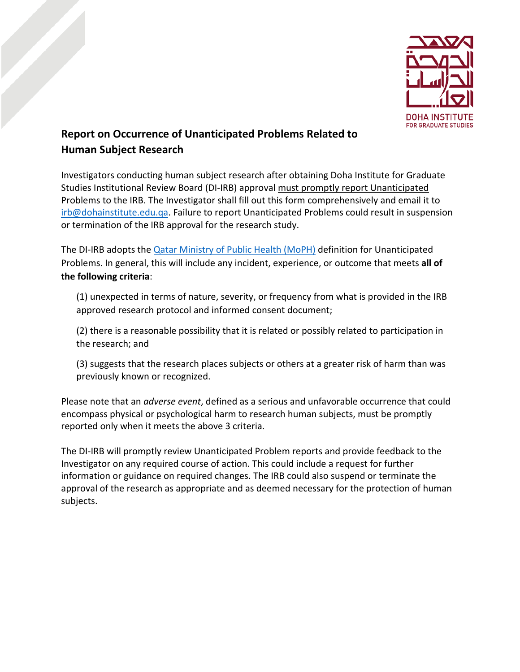

## **Report on Occurrence of Unanticipated Problems Related to Human Subject Research**

Investigators conducting human subject research after obtaining Doha Institute for Graduate Studies Institutional Review Board (DI-IRB) approval must promptly report Unanticipated Problems to the IRB. The Investigator shall fill out this form comprehensively and email it to [irb@dohainstitute.edu.qa.](mailto:irb@dohainstitute.edu.qa) Failure to report Unanticipated Problems could result in suspension or termination of the IRB approval for the research study.

The DI-IRB adopts the **Qatar Ministry of Public Health (MoPH)** definition for Unanticipated Problems. In general, this will include any incident, experience, or outcome that meets **all of the following criteria**:

(1) unexpected in terms of nature, severity, or frequency from what is provided in the IRB approved research protocol and informed consent document;

(2) there is a reasonable possibility that it is related or possibly related to participation in the research; and

(3) suggests that the research places subjects or others at a greater risk of harm than was previously known or recognized.

Please note that an *adverse event*, defined as a serious and unfavorable occurrence that could encompass physical or psychological harm to research human subjects, must be promptly reported only when it meets the above 3 criteria.

The DI-IRB will promptly review Unanticipated Problem reports and provide feedback to the Investigator on any required course of action. This could include a request for further information or guidance on required changes. The IRB could also suspend or terminate the approval of the research as appropriate and as deemed necessary for the protection of human subjects.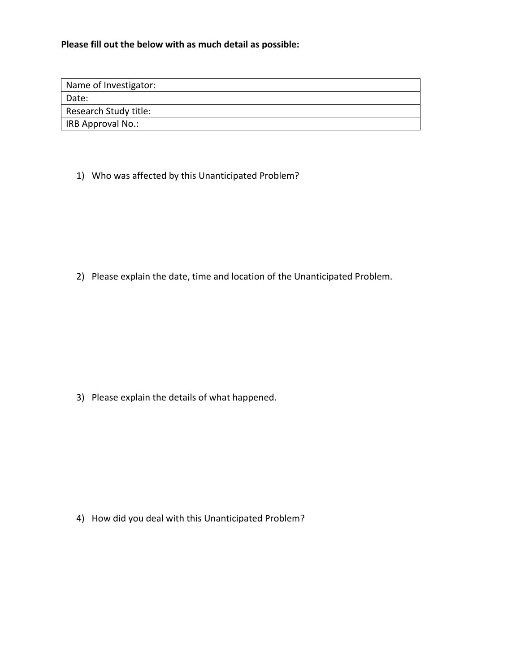**Please fill out the below with as much detail as possible:**

| Name of Investigator:    |
|--------------------------|
| Date:                    |
| Research Study title:    |
| <b>IRB Approval No.:</b> |

1) Who was affected by this Unanticipated Problem?

2) Please explain the date, time and location of the Unanticipated Problem.

3) Please explain the details of what happened.

4) How did you deal with this Unanticipated Problem?